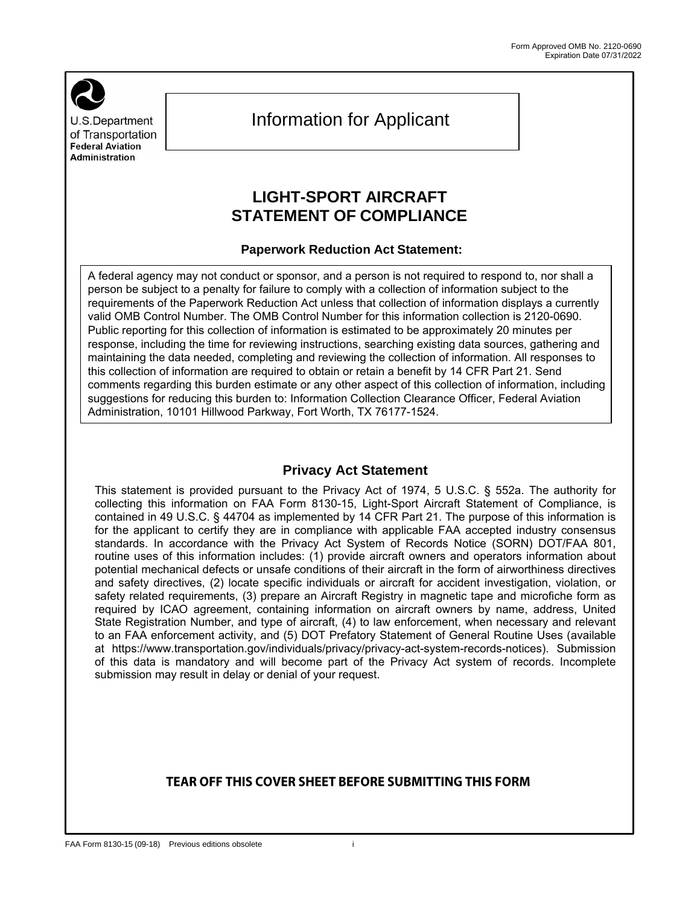U.S.Department of Transportation **Federal Aviation Administration** 

# Information for Applicant

## **LIGHT-SPORT AIRCRAFT STATEMENT OF COMPLIANCE**

#### **Paperwork Reduction Act Statement:**

 A federal agency may not conduct or sponsor, and a person is not required to respond to, nor shall a **response, including the time for reviewing instructions, searching existing data sources, gathering and response** person be subject to a penalty for failure to comply with a collection of information subject to the requirements of the Paperwork Reduction Act unless that collection of information displays a currently valid OMB Control Number. The OMB Control Number for this information collection is 2120-0690. Public reporting for this collection of information is estimated to be approximately 20 minutes per maintaining the data needed, completing and reviewing the collection of information. All responses to this collection of information are required to obtain or retain a benefit by 14 CFR Part 21. Send comments regarding this burden estimate or any other aspect of this collection of information, including suggestions for reducing this burden to: Information Collection Clearance Officer, Federal Aviation Administration, 10101 Hillwood Parkway, Fort Worth, TX 76177-1524.

### **Privacy Act Statement**

 collecting this information on FAA Form 8130-15, Light-Sport Aircraft Statement of Compliance, is This statement is provided pursuant to the Privacy Act of 1974, 5 U.S.C. § 552a. The authority for contained in 49 U.S.C. § 44704 as implemented by 14 CFR Part 21. The purpose of this information is for the applicant to certify they are in compliance with applicable FAA accepted industry consensus standards. In accordance with the Privacy Act System of Records Notice (SORN) DOT/FAA 801, routine uses of this information includes: (1) provide aircraft owners and operators information about potential mechanical defects or unsafe conditions of their aircraft in the form of airworthiness directives and safety directives, (2) locate specific individuals or aircraft for accident investigation, violation, or safety related requirements, (3) prepare an Aircraft Registry in magnetic tape and microfiche form as required by ICAO agreement, containing information on aircraft owners by name, address, United State Registration Number, and type of aircraft, (4) to law enforcement, when necessary and relevant to an FAA enforcement activity, and (5) DOT Prefatory Statement of General Routine Uses (available at https://www.transportation.gov/individuals/privacy/privacy-act-system-records-notices). Submission of this data is mandatory and will become part of the Privacy Act system of records. Incomplete submission may result in delay or denial of your request.

## TEAR OFF THIS COVER SHEET BEFORE SUBMITTING THIS FORM